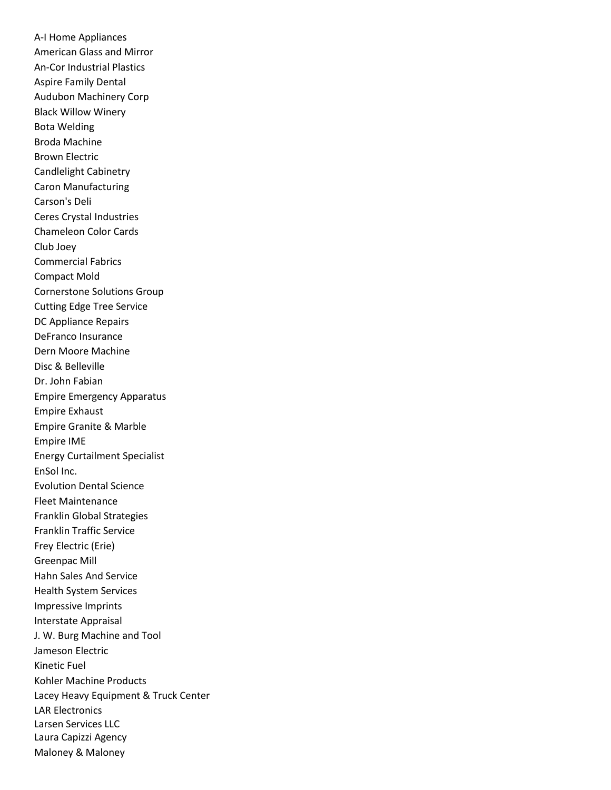A-I Home Appliances American Glass and Mirror An-Cor Industrial Plastics Aspire Family Dental Audubon Machinery Corp Black Willow Winery Bota Welding Broda Machine Brown Electric Candlelight Cabinetry Caron Manufacturing Carson's Deli Ceres Crystal Industries Chameleon Color Cards Club Joey Commercial Fabrics Compact Mold Cornerstone Solutions Group Cutting Edge Tree Service DC Appliance Repairs DeFranco Insurance Dern Moore Machine Disc & Belleville Dr. John Fabian Empire Emergency Apparatus Empire Exhaust Empire Granite & Marble Empire IME Energy Curtailment Specialist EnSol Inc. Evolution Dental Science Fleet Maintenance Franklin Global Strategies Franklin Traffic Service Frey Electric (Erie) Greenpac Mill Hahn Sales And Service Health System Services Impressive Imprints Interstate Appraisal J. W. Burg Machine and Tool Jameson Electric Kinetic Fuel Kohler Machine Products Lacey Heavy Equipment & Truck Center LAR Electronics Larsen Services LLC Laura Capizzi Agency Maloney & Maloney